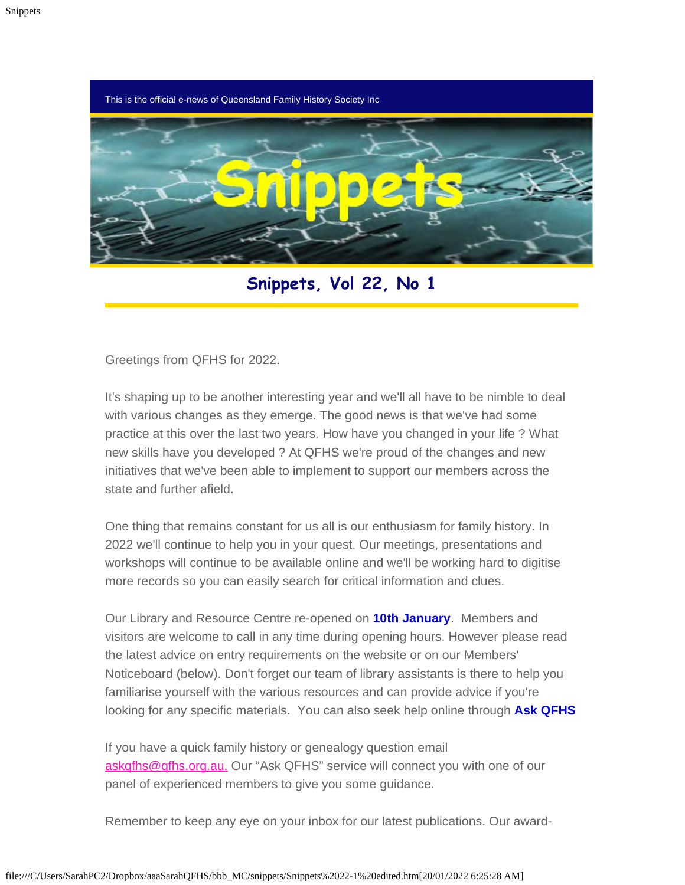This is the official e-news of Queensland Family History Society Inc



**Snippets, Vol 22, No 1**

Greetings from QFHS for 2022.

It's shaping up to be another interesting year and we'll all have to be nimble to deal with various changes as they emerge. The good news is that we've had some practice at this over the last two years. How have you changed in your life ? What new skills have you developed ? At QFHS we're proud of the changes and new initiatives that we've been able to implement to support our members across the state and further afield.

One thing that remains constant for us all is our enthusiasm for family history. In 2022 we'll continue to help you in your quest. Our meetings, presentations and workshops will continue to be available online and we'll be working hard to digitise more records so you can easily search for critical information and clues.

Our Library and Resource Centre re-opened on **10th January**. Members and visitors are welcome to call in any time during opening hours. However please read the latest advice on entry requirements on the website or on our Members' Noticeboard (below). Don't forget our team of library assistants is there to help you familiarise yourself with the various resources and can provide advice if you're looking for any specific materials. You can also seek help online through **Ask QFHS**

If you have a quick family history or genealogy question email [askqfhs@qfhs.org.au.](mailto:askqfhs@qfhs.org.au) Our "Ask QFHS" service will connect you with one of our panel of experienced members to give you some guidance.

Remember to keep any eye on your inbox for our latest publications. Our award-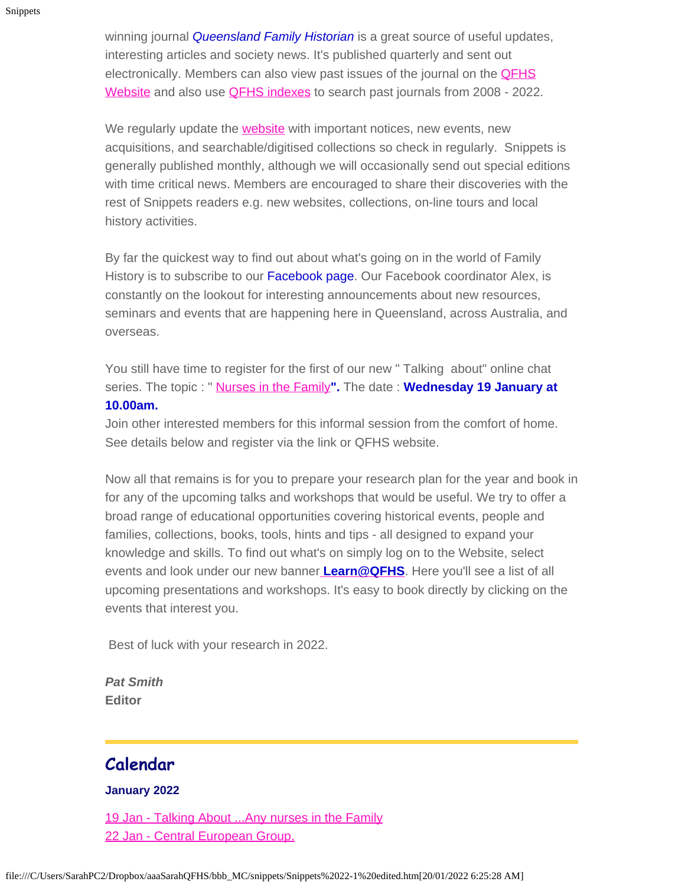winning journal *[Queensland Family Historian](https://www.qfhs.org.au/resources/qld-family-historian/)* is a great source of useful updates, interesting articles and society news. It's published quarterly and sent out electronically. Members can also view past issues of the journal on the **QFHS** [Website](https://www.qfhs.org.au/) and also use [QFHS indexes](https://www.qfhs.org.au/online-access/qfhindex/) to search past journals from 2008 - 2022.

We regularly update the **website** with important notices, new events, new acquisitions, and searchable/digitised collections so check in regularly. Snippets is generally published monthly, although we will occasionally send out special editions with time critical news. Members are encouraged to share their discoveries with the rest of Snippets readers e.g. new websites, collections, on-line tours and local history activities.

By far the quickest way to find out about what's going on in the world of Family History is to subscribe to our Facebook page. Our Facebook coordinator Alex, is constantly on the lookout for interesting announcements about new resources, seminars and events that are happening here in Queensland, across Australia, and overseas.

You still have time to register for the first of our new " Talking about" online chat series. The topic : " [Nurses in the Family](https://www.qfhs.org.au/events/talking-about/)**".** The date : **Wednesday 19 January at 10.00am.**

#### Join other interested members for this informal session from the comfort of home. See details below and register via the link or QFHS website.

Now all that remains is for you to prepare your research plan for the year and book in for any of the upcoming talks and workshops that would be useful. We try to offer a broad range of educational opportunities covering historical events, people and families, collections, books, tools, hints and tips - all designed to expand your knowledge and skills. To find out what's on simply log on to the Website, select events and look under our new banner **[Learn@QFHS](https://www.qfhs.org.au/events/)**. Here you'll see a list of all upcoming presentations and workshops. It's easy to book directly by clicking on the events that interest you.

Best of luck with your research in 2022.

*Pat Smith* **Editor**

### **Calendar**

#### **January 2022**

19 Jan - Talking About ... Any nurses in the Family [22 Jan - Central European Group.](https://www.qfhs.org.au/CalendarEvent.aspx?dt=20220122_100000_14)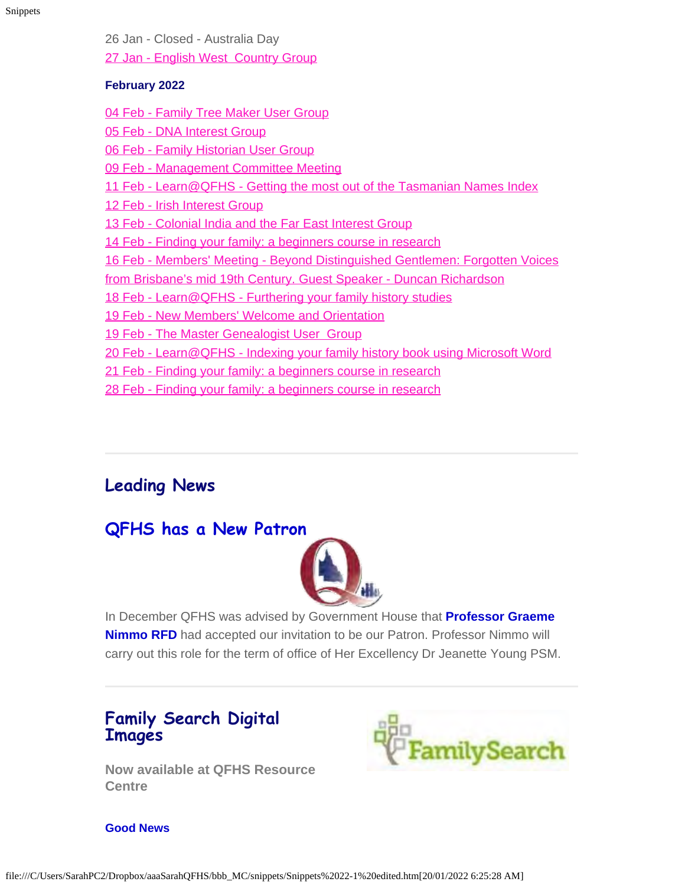Snippets

26 Jan - Closed - Australia Day [27 Jan - English West Country Group](https://www.qfhs.org.au/CalendarEvent.aspx?dt=20220127_120000_16)

#### **February 2022**

[04 Feb - Family Tree Maker User Group](https://www.qfhs.org.au/CalendarEvent.aspx?dt=20220204_100000_17)

- [05 Feb DNA Interest Group](https://www.qfhs.org.au/CalendarEvent.aspx?dt=20220205_133000_18)
- [06 Feb Family Historian User Group](https://www.qfhs.org.au/CalendarEvent.aspx?dt=20220206_130000_163)
- [09 Feb Management Committee Meeting](https://www.qfhs.org.au/CalendarEvent.aspx?dt=20220209_193000_19)
- 11 Feb Learn@QFHS [Getting the most out of the Tasmanian Names Index](https://www.qfhs.org.au/CalendarEvent.aspx?dt=20220211_100000_20)
- [12 Feb Irish Interest Group](https://www.qfhs.org.au/CalendarEvent.aspx?dt=20220212_103000_21)
- [13 Feb Colonial India and the Far East Interest Group](https://www.qfhs.org.au/CalendarEvent.aspx?dt=20220213_103000_22)
- [14 Feb Finding your family: a beginners course in research](https://www.qfhs.org.au/CalendarEvent.aspx?dt=20220214_193000_23)
- [16](https://www.qfhs.org.au/CalendarEvent.aspx?dt=20220216_193000_24) [Feb Members' Meeting Beyond Distinguished Gentlemen: Forgotten Voices](https://www.qfhs.org.au/CalendarEvent.aspx?dt=20220216_193000_24)
- [from Brisbane's mid 19th Century. Guest Speaker Duncan Richardson](https://www.qfhs.org.au/CalendarEvent.aspx?dt=20220216_193000_24)
- 18 Feb Learn@QFHS [Furthering your family history studies](https://www.qfhs.org.au/CalendarEvent.aspx?dt=20220218_100000_157)
- [19 Feb New Members' Welcome and Orientation](https://www.qfhs.org.au/CalendarEvent.aspx?dt=20220219_093000_26)
- [19 Feb The Master Genealogist User Group](https://www.qfhs.org.au/CalendarEvent.aspx?dt=20220219_133000_25)
- 20 Feb Learn@QFHS [Indexing your family history book using Microsoft Word](https://www.qfhs.org.au/CalendarEvent.aspx?dt=20220220_100000_167)
- [21 Feb Finding your family: a beginners course in research](https://www.qfhs.org.au/events/learn-qfhs/finding-your-family-a-beginners-course-in-research/)
- [28 Feb Finding your family: a beginners course in research](https://www.qfhs.org.au/events/learn-qfhs/finding-your-family-a-beginners-course-in-research/)

### **Leading News**

### **QFHS has a New Patron**



In December QFHS was advised by Government House that **Professor Graeme Nimmo RFD** had accepted our invitation to be our Patron. Professor Nimmo will carry out this role for the term of office of Her Excellency Dr Jeanette Young PSM.

### **Family Search Digital Images**

**Now available at QFHS Resource Centre**



#### **Good News**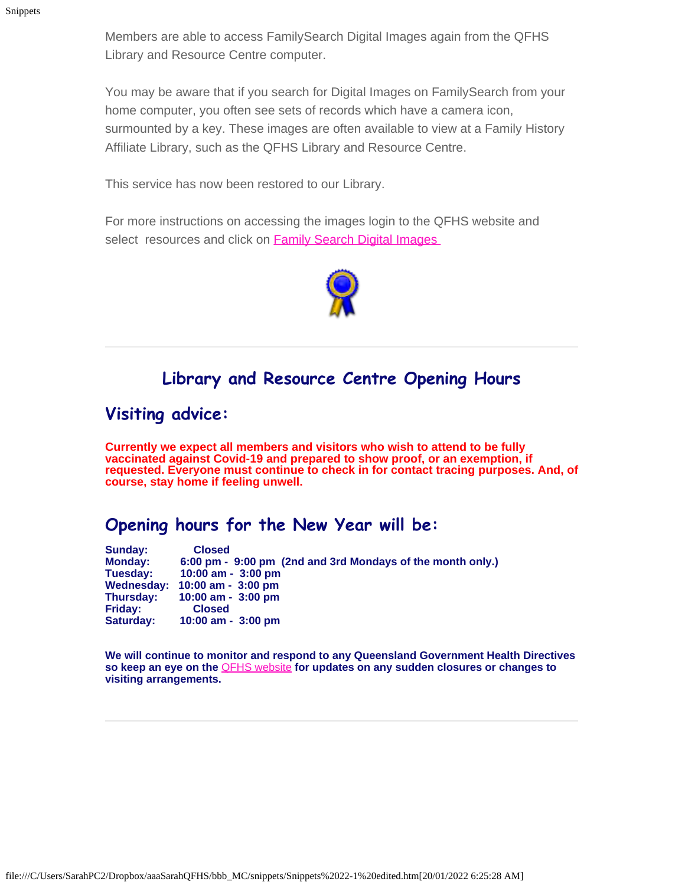Members are able to access FamilySearch Digital Images again from the QFHS Library and Resource Centre computer.

You may be aware that if you search for Digital Images on FamilySearch from your home computer, you often see sets of records which have a camera icon, surmounted by a key. These images are often available to view at a Family History Affiliate Library, such as the QFHS Library and Resource Centre.

This service has now been restored to our Library.

For more instructions on accessing the images login to the QFHS website and select resources and click on **Family Search Digital Images** 



### **Library and Resource Centre Opening Hours**

### **Visiting advice:**

**Currently we expect all members and visitors who wish to attend to be fully vaccinated against Covid-19 and prepared to show proof, or an exemption, if requested. Everyone must continue to check in for contact tracing purposes. And, of course, stay home if feeling unwell.**

### **Opening hours for the New Year will be:**

**Sunday: Closed Monday: 6:00 pm - 9:00 pm (2nd and 3rd Mondays of the month only.) Tuesday: 10:00 am - 3:00 pm Wednesday: 10:00 am - 3:00 pm Thursday: 10:00 am - 3:00 pm Friday:**<br>Saturday: **Saturday: 10:00 am - 3:00 pm**

**We will continue to monitor and respond to any Queensland Government Health Directives so keep an eye on the** [QFHS website](https://www.qfhs.org.au/) **for updates on any sudden closures or changes to visiting arrangements.**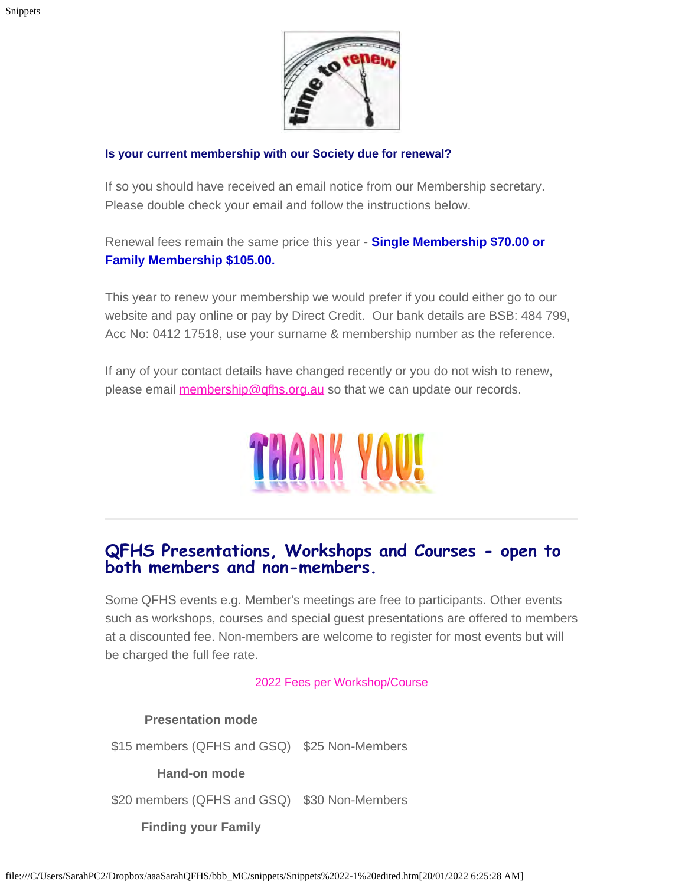

#### **Is your current membership with our Society due for renewal?**

If so you should have received an email notice from our Membership secretary. Please double check your email and follow the instructions below.

Renewal fees remain the same price this year - **Single Membership \$70.00 or Family Membership \$105.00.**

This year to renew your membership we would prefer if you could either go to our website and pay online or pay by Direct Credit. Our bank details are BSB: 484 799, Acc No: 0412 17518, use your surname & membership number as the reference.

If any of your contact details have changed recently or you do not wish to renew, please email **[membership@qfhs.org.au](mailto:?subject=membership%40qfhs.org.au)** so that we can update our records.



### **QFHS Presentations, Workshops and Courses - open to both members and non-members.**

Some QFHS events e.g. Member's meetings are free to participants. Other events such as workshops, courses and special guest presentations are offered to members at a discounted fee. Non-members are welcome to register for most events but will be charged the full fee rate.

2022 Fees [per Workshop/Course](https://www.qfhs.org.au/events/learn-qfhs/)

#### **Presentation mode**

\$15 members (QFHS and GSQ) \$25 Non-Members

#### **Hand-on mode**

\$20 members (QFHS and GSQ) \$30 Non-Members

**Finding your Family**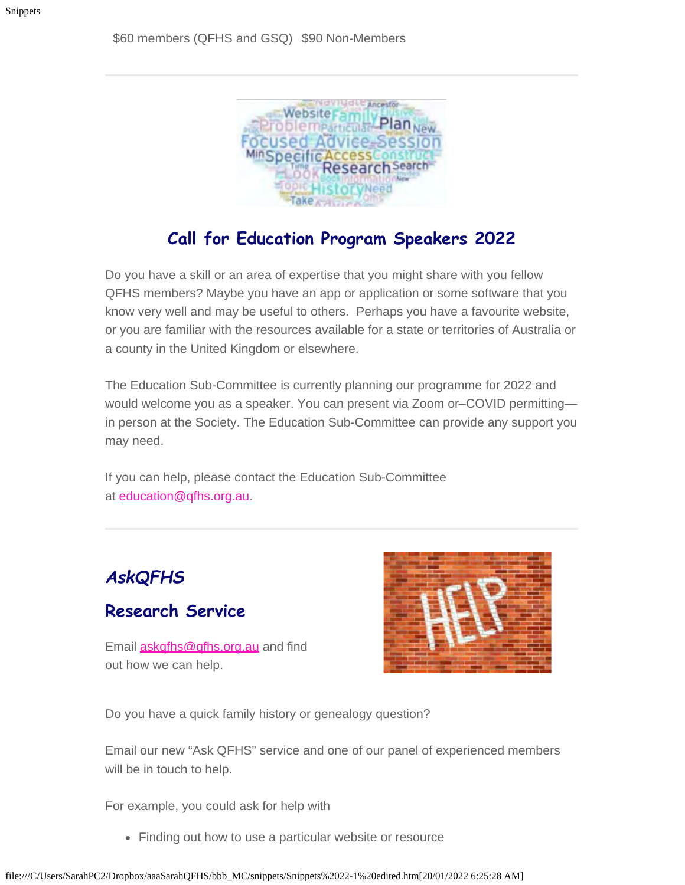

### **Call for Education Program Speakers 2022**

Do you have a skill or an area of expertise that you might share with you fellow QFHS members? Maybe you have an app or application or some software that you know very well and may be useful to others. Perhaps you have a favourite website, or you are familiar with the resources available for a state or territories of Australia or a county in the United Kingdom or elsewhere.

The Education Sub-Committee is currently planning our programme for 2022 and would welcome you as a speaker. You can present via Zoom or–COVID permitting in person at the Society. The Education Sub-Committee can provide any support you may need.

If you can help, please contact the Education Sub-Committee at [education@qfhs.org.au](mailto:education@qfhs.org.au).

### *AskQFHS*

### **Research Service**

Email **[askqfhs@qfhs.org.au](mailto:askqfhs@qfhs.org.au)** and find out how we can help.



Do you have a quick family history or genealogy question?

Email our new "Ask QFHS" service and one of our panel of experienced members will be in touch to help.

For example, you could ask for help with

• Finding out how to use a particular website or resource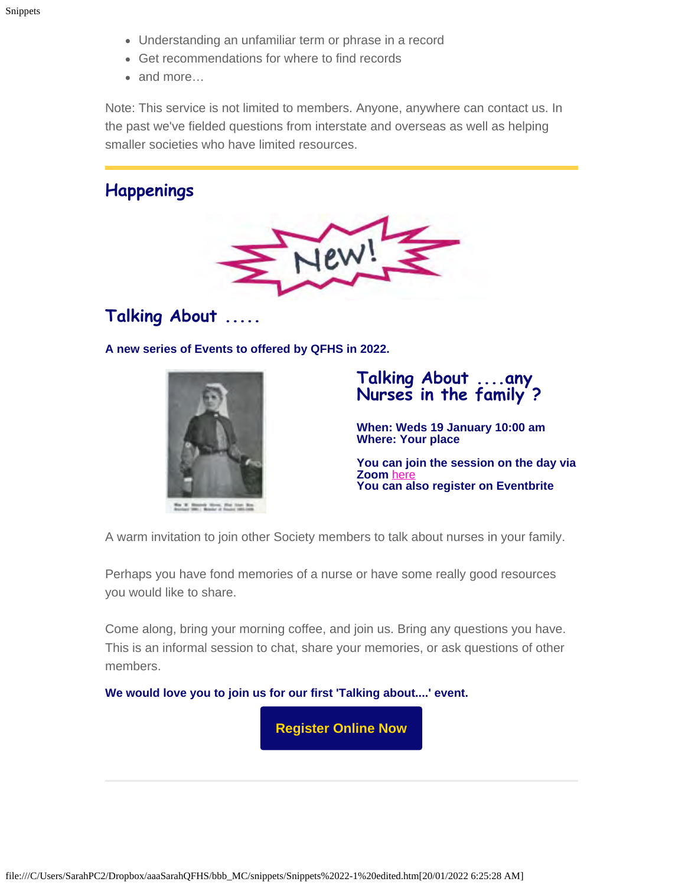- Understanding an unfamiliar term or phrase in a record
- Get recommendations for where to find records
- and more…

Note: This service is not limited to members. Anyone, anywhere can contact us. In the past we've fielded questions from interstate and overseas as well as helping smaller societies who have limited resources.

### **Happenings**



### **Talking About .....**

**A new series of Events to offered by QFHS in 2022.**



#### **Talking About ....any Nurses in the family ?**

**When: Weds 19 January 10:00 am Where: Your place**

**You can join the session on the day via Zoom** [here](https://us02web.zoom.us/j/89173178928?pwd=b2wrbmZDN3hXS1lqeTZJU05Nd1ZKUT09#success) **You can also register on Eventbrite**

A warm invitation to join other Society members to talk about nurses in your family.

Perhaps you have fond memories of a nurse or have some really good resources you would like to share.

Come along, bring your morning coffee, and join us. Bring any questions you have. This is an informal session to chat, share your memories, or ask questions of other members.

**We would love you to join us for our first 'Talking about....' event.**

**[Register Online Now](https://www.eventbrite.com.au/e/any-nurses-in-the-family-tickets-210574202107)**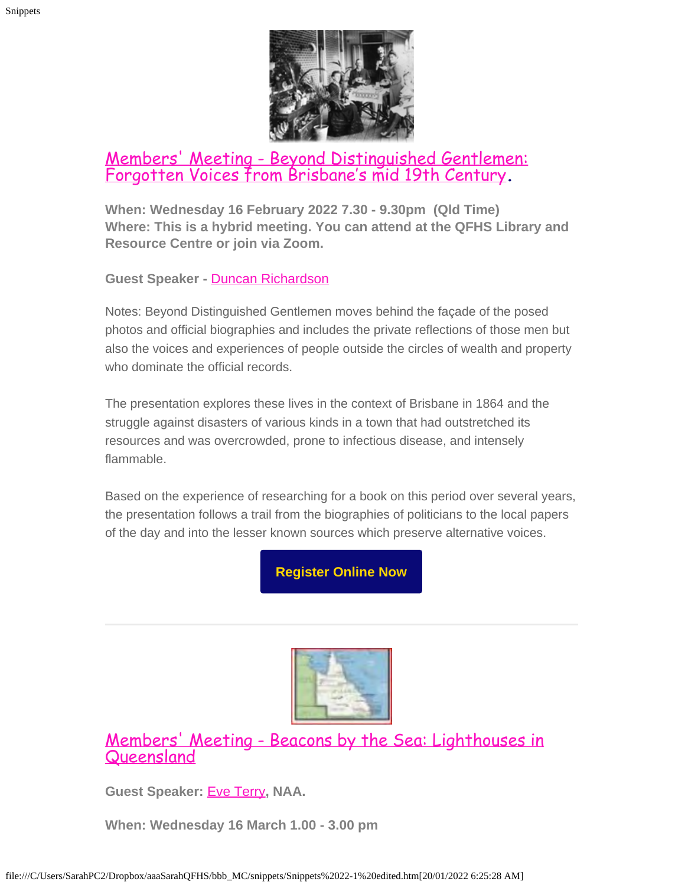

### [Members' Meeting - Beyond Distinguished Gentlemen:](https://www.qfhs.org.au/CalendarEvent.aspx?dt=20220216_193000_24) [Forgotten Voices from Brisbane's mid 19th Century](https://www.qfhs.org.au/CalendarEvent.aspx?dt=20220216_193000_24)**.**

**When: Wednesday 16 February 2022 7.30 - 9.30pm (Qld Time) Where: This is a hybrid meeting. You can attend at the QFHS Library and Resource Centre or join via Zoom.**

**Guest Speaker -** [Duncan Richardson](https://www.qfhs.org.au/biographies/duncan-richardson/)

Notes: Beyond Distinguished Gentlemen moves behind the façade of the posed photos and official biographies and includes the private reflections of those men but also the voices and experiences of people outside the circles of wealth and property who dominate the official records.

The presentation explores these lives in the context of Brisbane in 1864 and the struggle against disasters of various kinds in a town that had outstretched its resources and was overcrowded, prone to infectious disease, and intensely flammable.

Based on the experience of researching for a book on this period over several years, the presentation follows a trail from the biographies of politicians to the local papers of the day and into the lesser known sources which preserve alternative voices.

**[Register Online Now](https://www.eventbrite.com.au/e/members-meeting-february-duncan-richardson-tickets-210271857787)**



[Members' Meeting - Beacons by the Sea: Lighthouses in](https://www.qfhs.org.au/CalendarEvent.aspx?dt=20220316_130000_36) [Queensland](https://www.qfhs.org.au/CalendarEvent.aspx?dt=20220316_130000_36)

**Guest Speaker:** [Eve Terry](https://www.qfhs.org.au/biographies/eve-terry/)**, NAA.**

**When: Wednesday 16 March 1.00 - 3.00 pm**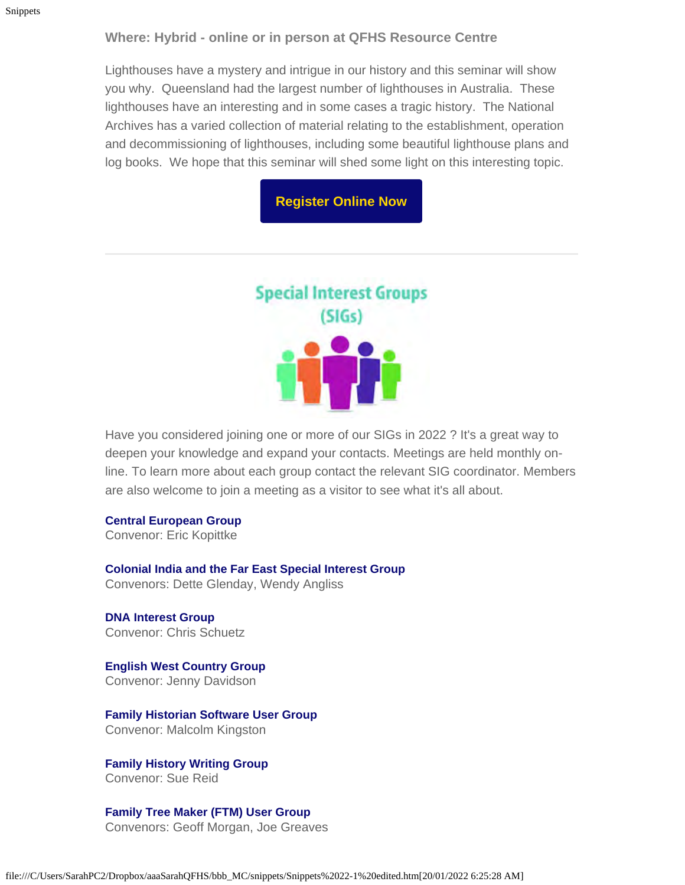#### **Where: Hybrid - online or in person at QFHS Resource Centre**

Lighthouses have a mystery and intrigue in our history and this seminar will show you why. Queensland had the largest number of lighthouses in Australia. These lighthouses have an interesting and in some cases a tragic history. The National Archives has a varied collection of material relating to the establishment, operation and decommissioning of lighthouses, including some beautiful lighthouse plans and log books. We hope that this seminar will shed some light on this interesting topic.

#### **[Register Online Now](https://www.eventbrite.com.au/e/members-meeting-march-eve-terry-tickets-247782041757)**



Have you considered joining one or more of our SIGs in 2022 ? It's a great way to deepen your knowledge and expand your contacts. Meetings are held monthly online. To learn more about each group contact the relevant SIG coordinator. Members are also welcome to join a meeting as a visitor to see what it's all about.

#### **Central European Group**

Convenor: Eric Kopittke

**Colonial India and the Far East Special Interest Group** Convenors: Dette Glenday, Wendy Angliss

**DNA Interest Group** Convenor: Chris Schuetz

**English West Country Group** Convenor: Jenny Davidson

**Family Historian Software User Group** Convenor: Malcolm Kingston

**Family History Writing Group** Convenor: Sue Reid

**Family Tree Maker (FTM) User Group** Convenors: Geoff Morgan, Joe Greaves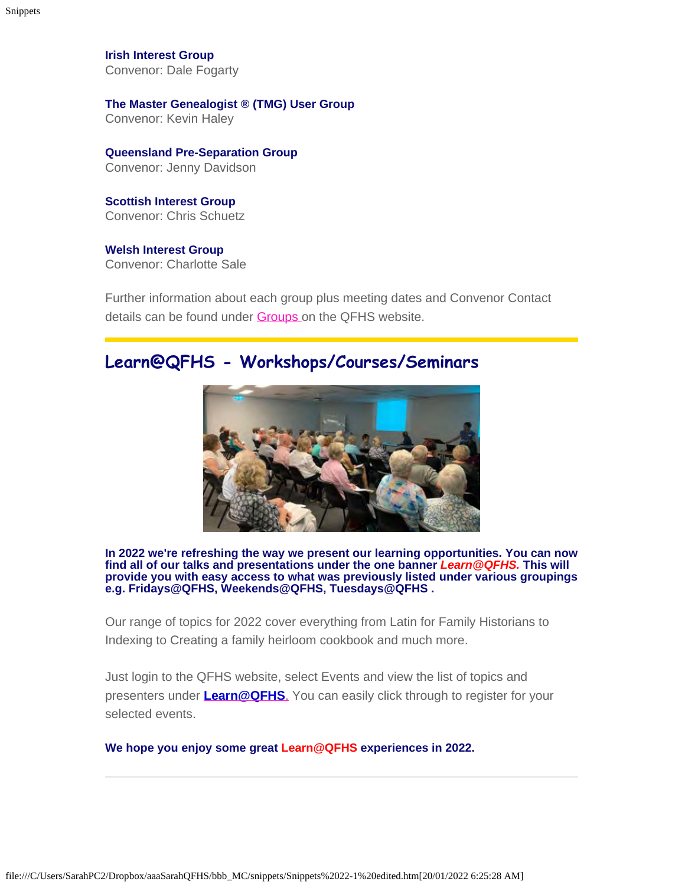**Irish Interest Group** Convenor: Dale Fogarty

**The Master Genealogist ® (TMG) User Group** Convenor: Kevin Haley

**Queensland Pre-Separation Group** Convenor: Jenny Davidson

**Scottish Interest Group** Convenor: Chris Schuetz

**Welsh Interest Group** Convenor: Charlotte Sale

Further information about each group plus meeting dates and Convenor Contact details can be found under **Groups** on the QFHS website.

### **Learn@QFHS - Workshops/Courses/Seminars**



**In 2022 we're refreshing the way we present our learning opportunities. You can now find all of our talks and presentations under the one banner** *Learn@QFHS.* **This will provide you with easy access to what was previously listed under various groupings e.g. Fridays@QFHS, Weekends@QFHS, Tuesdays@QFHS .**

Our range of topics for 2022 cover everything from Latin for Family Historians to Indexing to Creating a family heirloom cookbook and much more.

Just login to the QFHS website, select Events and view the list of topics and presenters under **[Learn@QFHS](https://www.qfhs.org.au/events/learn-qfhs/)**[.](https://www.qfhs.org.au/events/learn-qfhs/) You can easily click through to register for your selected events.

**We hope you enjoy some great Learn@QFHS experiences in 2022.**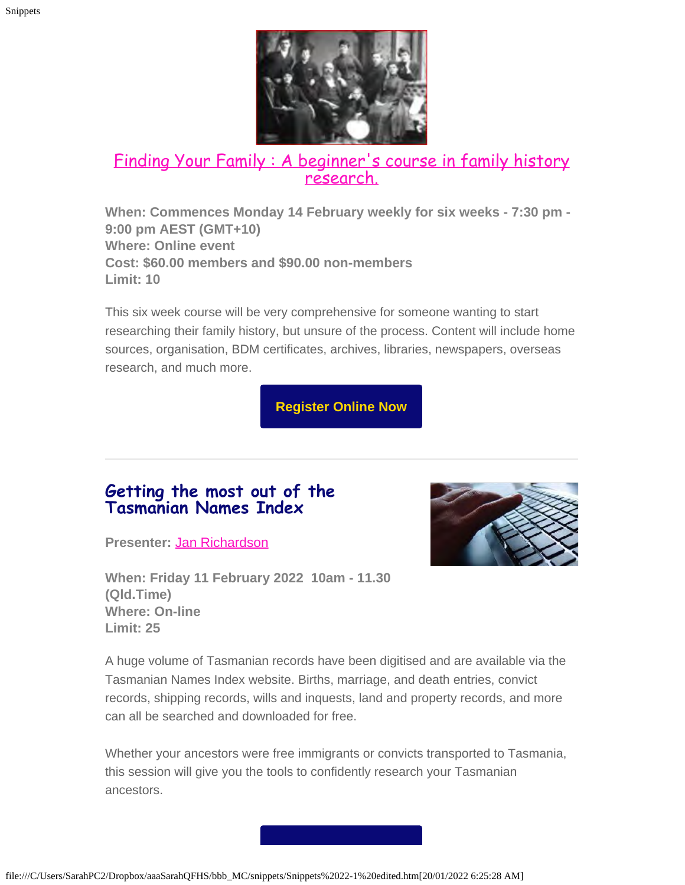

# [Finding Your Family : A beginner's course in family history](https://www.qfhs.org.au/events/learn-qfhs/finding-your-family-a-beginners-course-in-research/) [research.](https://www.qfhs.org.au/events/learn-qfhs/finding-your-family-a-beginners-course-in-research/)

**When: Commences Monday 14 February weekly for six weeks - 7:30 pm - 9:00 pm AEST (GMT+10) Where: Online event Cost: \$60.00 members and \$90.00 non-members Limit: 10**

This six week course will be very comprehensive for someone wanting to start researching their family history, but unsure of the process. Content will include home sources, organisation, BDM certificates, archives, libraries, newspapers, overseas research, and much more.

**[Register Online Now](https://www.eventbrite.com.au/e/finding-your-family-a-beginners-course-in-research-february-2022-tickets-167202588443)**

### **Getting the most out of the Tasmanian Names Index**

**Presenter:** [Jan Richardson](https://www.qfhs.org.au/biographies/jan-richardson/)

**When: Friday 11 February 2022 10am - 11.30 (Qld.Time) Where: On-line Limit: 25**



A huge volume of Tasmanian records have been digitised and are available via the Tasmanian Names Index website. Births, marriage, and death entries, convict records, shipping records, wills and inquests, land and property records, and more can all be searched and downloaded for free.

Whether your ancestors were free immigrants or convicts transported to Tasmania, this session will give you the tools to confidently research your Tasmanian ancestors.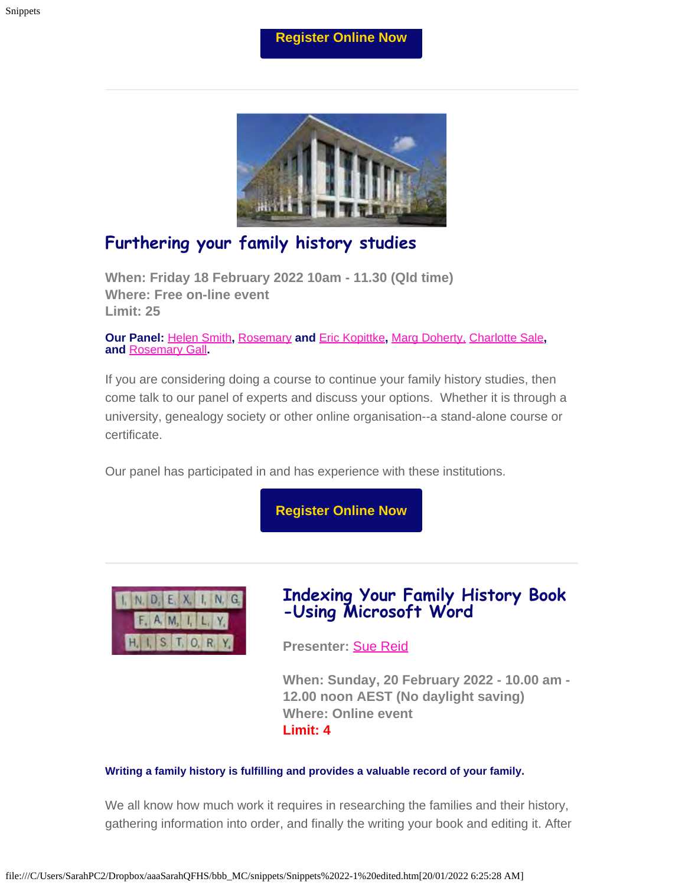#### **[Register Online Now](https://www.eventbrite.com.au/e/getting-the-most-out-of-the-tasmanian-names-index-tickets-186435943927)**



### **Furthering your family history studies**

**When: Friday 18 February 2022 10am - 11.30 (Qld time) Where: Free on-line event Limit: 25**

**Our Panel:** [Helen Smith](https://www.qfhs.org.au/biographies/helen-smith/)**,** [Rosemary](https://www.qfhs.org.au/biographies/rosemary-kopittke/) **and** [Eric Kopittke](https://www.qfhs.org.au/biographies/eric-kopittke/)**,** [Marg Doherty,](https://www.qfhs.org.au/biographies/marg-doherty/) [Charlotte Sale](https://www.qfhs.org.au/biographies/charlotte-sale/)**, and** [Rosemary Gall](https://www.qfhs.org.au/biographies/rosemary-gall/)**.**

If you are considering doing a course to continue your family history studies, then come talk to our panel of experts and discuss your options. Whether it is through a university, genealogy society or other online organisation--a stand-alone course or certificate.

Our panel has participated in and has experience with these institutions.

**[Register Online Now](https://www.eventbrite.com.au/e/furthering-your-family-history-studies-tickets-189436869777)**



### **Indexing Your Family History Book -Using Microsoft Word**

**Presenter:** [Sue Reid](https://www.qfhs.org.au/biographies/sue-reid/)

**When: Sunday, 20 February 2022 - 10.00 am - 12.00 noon AEST (No daylight saving) Where: Online event Limit: 4**

#### **Writing a family history is fulfilling and provides a valuable record of your family.**

We all know how much work it requires in researching the families and their history, gathering information into order, and finally the writing your book and editing it. After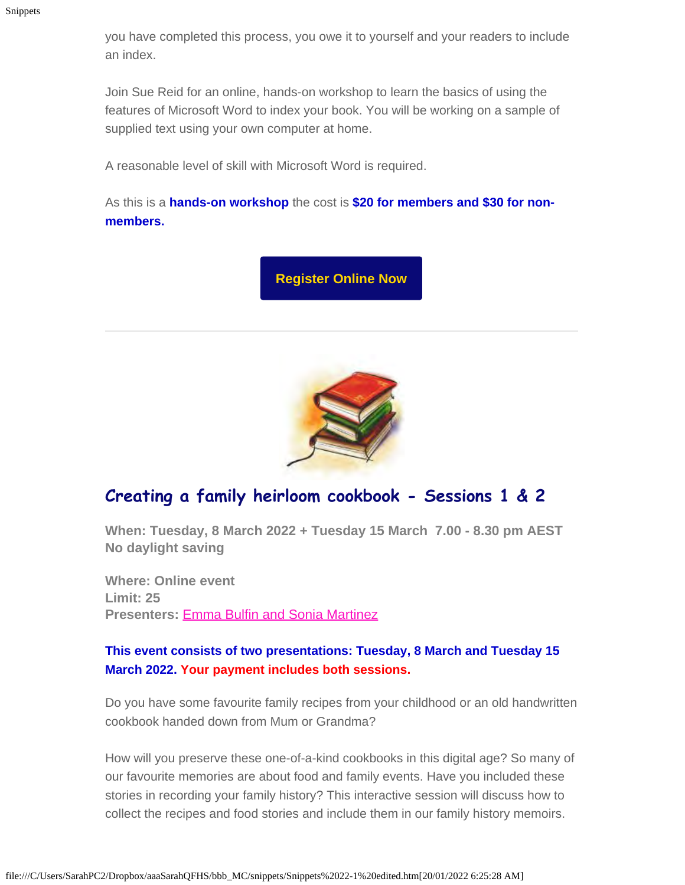you have completed this process, you owe it to yourself and your readers to include an index.

Join Sue Reid for an online, hands-on workshop to learn the basics of using the features of Microsoft Word to index your book. You will be working on a sample of supplied text using your own computer at home.

A reasonable level of skill with Microsoft Word is required.

As this is a **hands-on workshop** the cost is **\$20 for members and \$30 for nonmembers.**

**[Register Online Now](https://www.eventbrite.com.au/e/indexing-your-family-history-book-using-microsoft-word-tickets-240587462577)**



### **Creating a family heirloom cookbook - Sessions 1 & 2**

**When: Tuesday, 8 March 2022 + Tuesday 15 March 7.00 - 8.30 pm AEST No daylight saving**

**Where: Online event Limit: 25 Presenters:** [Emma Bulfin and Sonia Martinez](https://fareloom.co/page/media)

#### **This event consists of two presentations: Tuesday, 8 March and Tuesday 15 March 2022. Your payment includes both sessions.**

Do you have some favourite family recipes from your childhood or an old handwritten cookbook handed down from Mum or Grandma?

How will you preserve these one-of-a-kind cookbooks in this digital age? So many of our favourite memories are about food and family events. Have you included these stories in recording your family history? This interactive session will discuss how to collect the recipes and food stories and include them in our family history memoirs.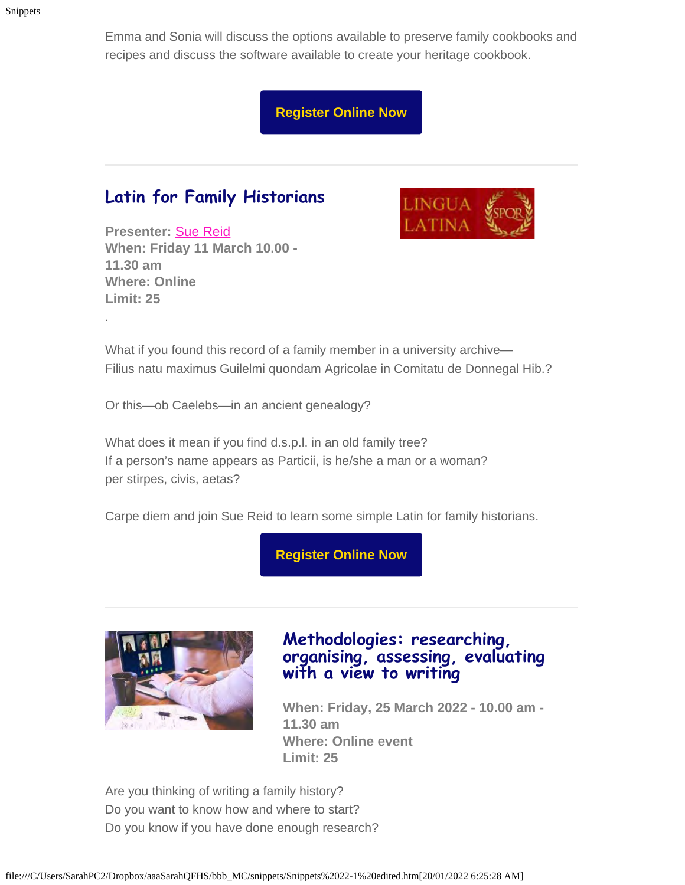Emma and Sonia will discuss the options available to preserve family cookbooks and recipes and discuss the software available to create your heritage cookbook.

**[Register Online Now](https://www.eventbrite.com.au/e/creating-a-family-heirloom-cookbook-tickets-195685178637)**

### **Latin for Family Historians**

**Presenter:** [Sue Reid](https://www.qfhs.org.au/biographies/sue-reid/) **When: Friday 11 March 10.00 - 11.30 am Where: Online Limit: 25**

.



What if you found this record of a family member in a university archive— Filius natu maximus Guilelmi quondam Agricolae in Comitatu de Donnegal Hib.?

Or this—ob Caelebs—in an ancient genealogy?

What does it mean if you find d.s.p.l. in an old family tree? If a person's name appears as Particii, is he/she a man or a woman? per stirpes, civis, aetas?

Carpe diem and join Sue Reid to learn some simple Latin for family historians.

**[Register Online Now](https://www.eventbrite.com.au/e/latin-for-family-historians-tickets-233986759697)**



### **Methodologies: researching, organising, assessing, evaluating with a view to writing**

**When: Friday, 25 March 2022 - 10.00 am - 11.30 am Where: Online event Limit: 25**

Are you thinking of writing a family history? Do you want to know how and where to start? Do you know if you have done enough research?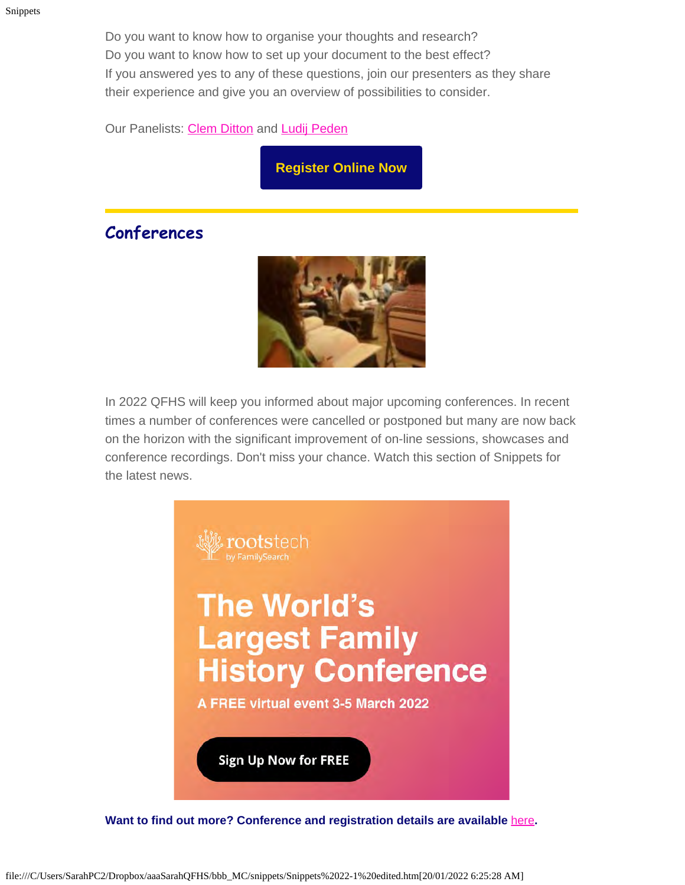Do you want to know how to organise your thoughts and research? Do you want to know how to set up your document to the best effect? If you answered yes to any of these questions, join our presenters as they share their experience and give you an overview of possibilities to consider.

Our Panelists: [Clem Ditton](https://www.qfhs.org.au/biographies/clem-ditton/) and [Ludij Peden](https://www.qfhs.org.au/biographies/ludij-peden/)

**[Register Online Now](https://www.eventbrite.com.au/e/methodologies-researching-organising-assessing-evaluating-tickets-210286300987)**

### **Conferences**



In 2022 QFHS will keep you informed about major upcoming conferences. In recent times a number of conferences were cancelled or postponed but many are now back on the horizon with the significant improvement of on-line sessions, showcases and conference recordings. Don't miss your chance. Watch this section of Snippets for the latest news.



**Want to find out more? Conference and registration details are available** [here](https://www.familysearch.org/rootstech/next/?cid=em-rcr-12023&mkt_tok=NTc4LVRUWC04NzQAAAGBD_a4PLWL9Rj8G_SG9apHjicu7fbmnq0pCT_vKrHEaDh6v3Dy_XGrerkAcd_lVy8PjWYmTPLBleN58Hy0_ZO7qsIeYg_EFWR1ysLxCmCn4litWg)**.**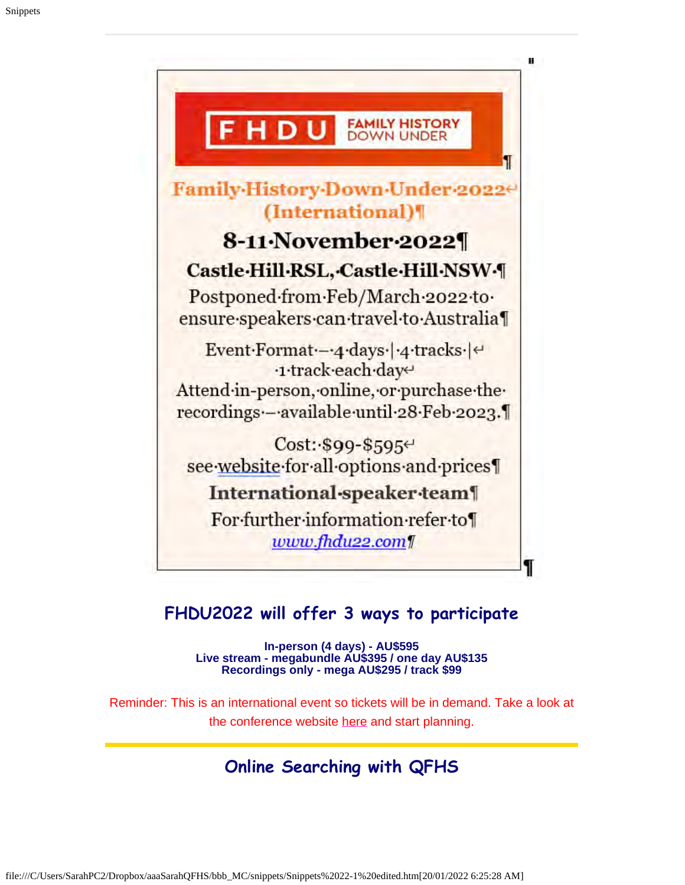

### **FHDU2022 will offer 3 ways to participate**

**In-person (4 days) - AU\$595 Live stream - megabundle AU\$395 / one day AU\$135 Recordings only - mega AU\$295 / track \$99**

Reminder: This is an international event so tickets will be in demand. Take a look at the conference website [here](https://www.fhdu22.com/) and start planning.

### **Online Searching with QFHS**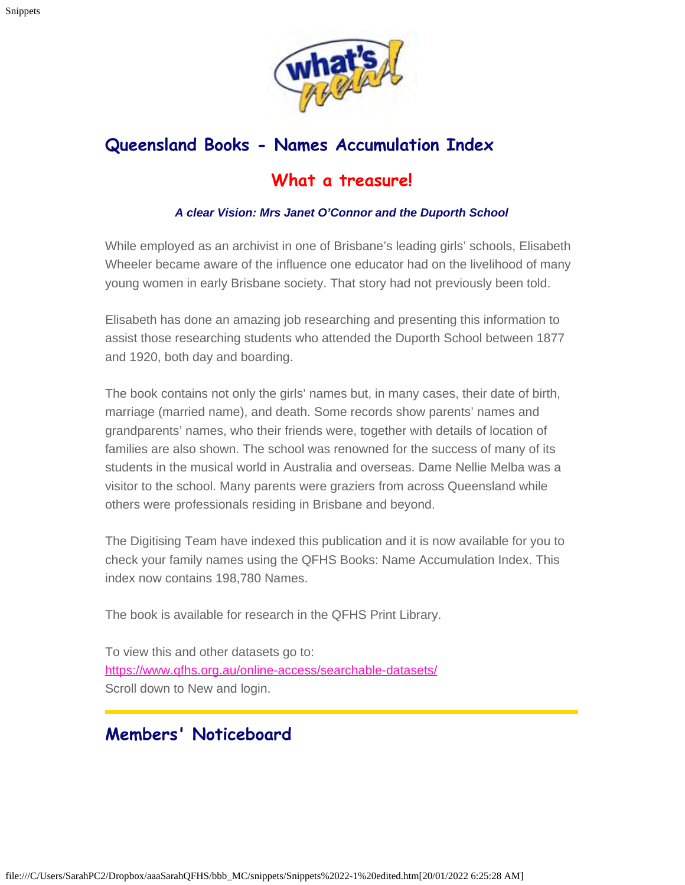

## **Queensland Books - Names Accumulation Index What a treasure!**

#### *A clear Vision: Mrs Janet O'Connor and the Duporth School*

While employed as an archivist in one of Brisbane's leading girls' schools, Elisabeth Wheeler became aware of the influence one educator had on the livelihood of many young women in early Brisbane society. That story had not previously been told.

Elisabeth has done an amazing job researching and presenting this information to assist those researching students who attended the Duporth School between 1877 and 1920, both day and boarding.

The book contains not only the girls' names but, in many cases, their date of birth, marriage (married name), and death. Some records show parents' names and grandparents' names, who their friends were, together with details of location of families are also shown. The school was renowned for the success of many of its students in the musical world in Australia and overseas. Dame Nellie Melba was a visitor to the school. Many parents were graziers from across Queensland while others were professionals residing in Brisbane and beyond.

The Digitising Team have indexed this publication and it is now available for you to check your family names using the QFHS Books: Name Accumulation Index. This index now contains 198,780 Names.

The book is available for research in the QFHS Print Library.

To view this and other datasets go to: <https://www.qfhs.org.au/online-access/searchable-datasets/> Scroll down to New and login.

### **Members' Noticeboard**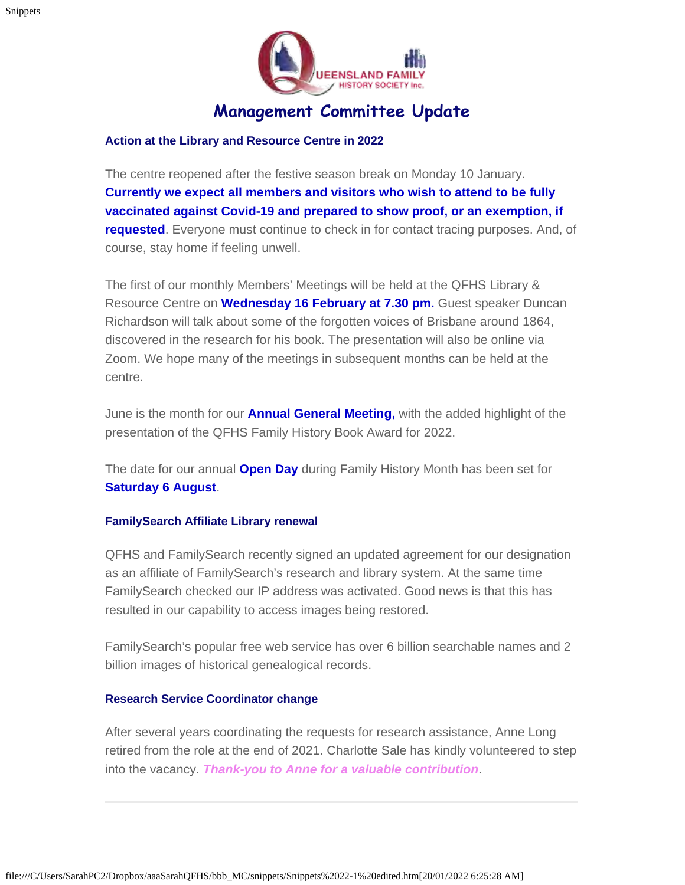

### **Management Committee Update**

#### **Action at the Library and Resource Centre in 2022**

The centre reopened after the festive season break on Monday 10 January. **Currently we expect all members and visitors who wish to attend to be fully vaccinated against Covid-19 and prepared to show proof, or an exemption, if requested**. Everyone must continue to check in for contact tracing purposes. And, of course, stay home if feeling unwell.

The first of our monthly Members' Meetings will be held at the QFHS Library & Resource Centre on **Wednesday 16 February at 7.30 pm.** Guest speaker Duncan Richardson will talk about some of the forgotten voices of Brisbane around 1864, discovered in the research for his book. The presentation will also be online via Zoom. We hope many of the meetings in subsequent months can be held at the centre.

June is the month for our **Annual General Meeting,** with the added highlight of the presentation of the QFHS Family History Book Award for 2022.

The date for our annual **Open Day** during Family History Month has been set for **Saturday 6 August**.

#### **FamilySearch Affiliate Library renewal**

QFHS and FamilySearch recently signed an updated agreement for our designation as an affiliate of FamilySearch's research and library system. At the same time FamilySearch checked our IP address was activated. Good news is that this has resulted in our capability to access images being restored.

FamilySearch's popular free web service has over 6 billion searchable names and 2 billion images of historical genealogical records.

#### **Research Service Coordinator change**

After several years coordinating the requests for research assistance, Anne Long retired from the role at the end of 2021. Charlotte Sale has kindly volunteered to step into the vacancy. *Thank-you to Anne for a valuable contribution*.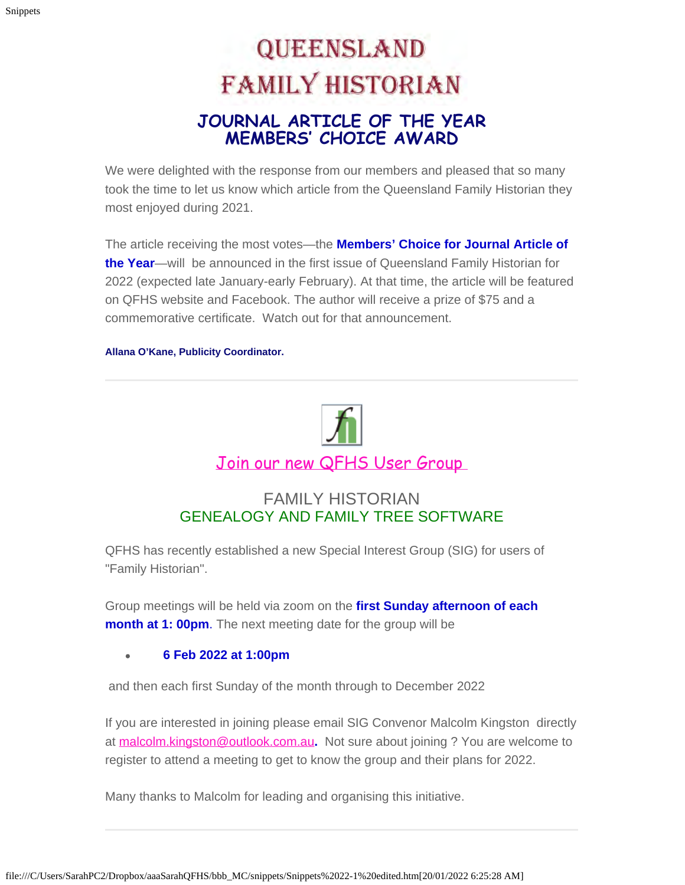# **QUEENSLAND FAMILY HISTORIAN JOURNAL ARTICLE OF THE YEAR MEMBERS' CHOICE AWARD**

We were delighted with the response from our members and pleased that so many took the time to let us know which article from the Queensland Family Historian they most enjoyed during 2021.

The article receiving the most votes—the **Members' Choice for Journal Article of the Year**—will be announced in the first issue of Queensland Family Historian for 2022 (expected late January-early February). At that time, the article will be featured on QFHS website and Facebook. The author will receive a prize of \$75 and a commemorative certificate. Watch out for that announcement.

**Allana O'Kane, Publicity Coordinator.**



#### FAMILY HISTORIAN GENEALOGY AND FAMILY TREE SOFTWARE

QFHS has recently established a new Special Interest Group (SIG) for users of "Family Historian".

Group meetings will be held via zoom on the **first Sunday afternoon of each month at 1: 00pm.** The next meeting date for the group will be

#### **6 Feb 2022 at 1:00pm**

and then each first Sunday of the month through to December 2022

If you are interested in joining please email SIG Convenor Malcolm Kingston directly at [malcolm.kingston@outlook.com.au](mailto:malcolmkingston@outlook.com.au)**.** Not sure about joining ? You are welcome to register to attend a meeting to get to know the group and their plans for 2022.

Many thanks to Malcolm for leading and organising this initiative.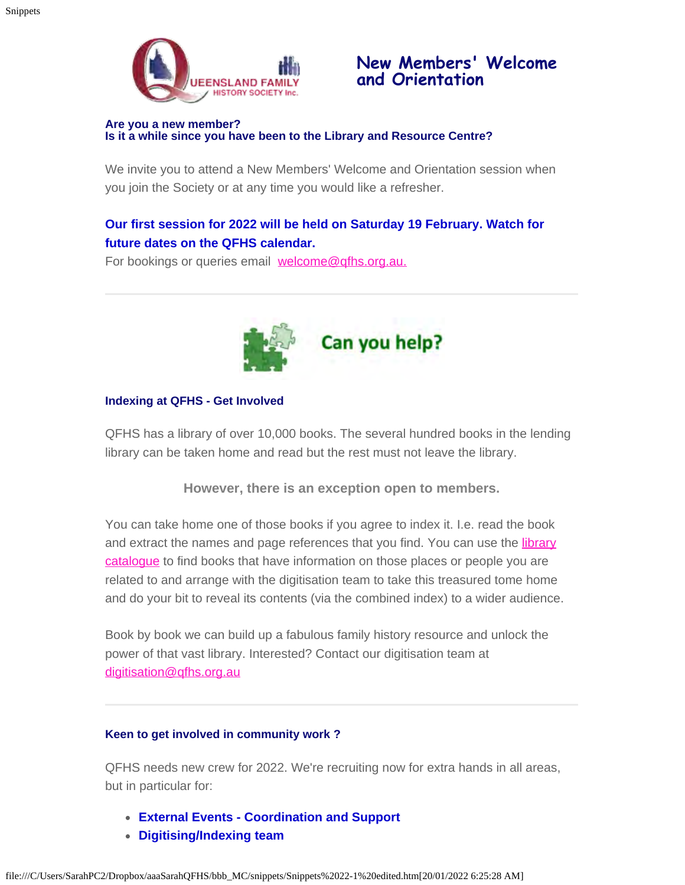

### **New Members' Welcome and Orientation**

#### **Are you a new member? Is it a while since you have been to the Library and Resource Centre?**

We invite you to attend a New Members' Welcome and Orientation session when you join the Society or at any time you would like a refresher.

#### **Our first session for 2022 will be held on Saturday 19 February. Watch for future dates on the QFHS calendar.**

For bookings or queries email [welcome@qfhs.org.au.](mailto:welcome@qfhs.org.au?subject=New%20Members%20Orientation)



#### **Indexing at QFHS - Get Involved**

QFHS has a library of over 10,000 books. The several hundred books in the lending library can be taken home and read but the rest must not leave the library.

**However, there is an exception open to members.**

You can take home one of those books if you agree to index it. I.e. read the book and extract the names and page references that you find. You can use the *library* [catalogue](https://www.qfhs.org.au/resources/catalogue-search/) to find books that have information on those places or people you are related to and arrange with the digitisation team to take this treasured tome home and do your bit to reveal its contents (via the combined index) to a wider audience.

Book by book we can build up a fabulous family history resource and unlock the power of that vast library. Interested? Contact our digitisation team at [digitisation@qfhs.org.au](mailto:digitisation@qfhs.org.au)

#### **Keen to get involved in community work ?**

QFHS needs new crew for 2022. We're recruiting now for extra hands in all areas, but in particular for:

- **External Events Coordination and Support**
- **Digitising/Indexing team**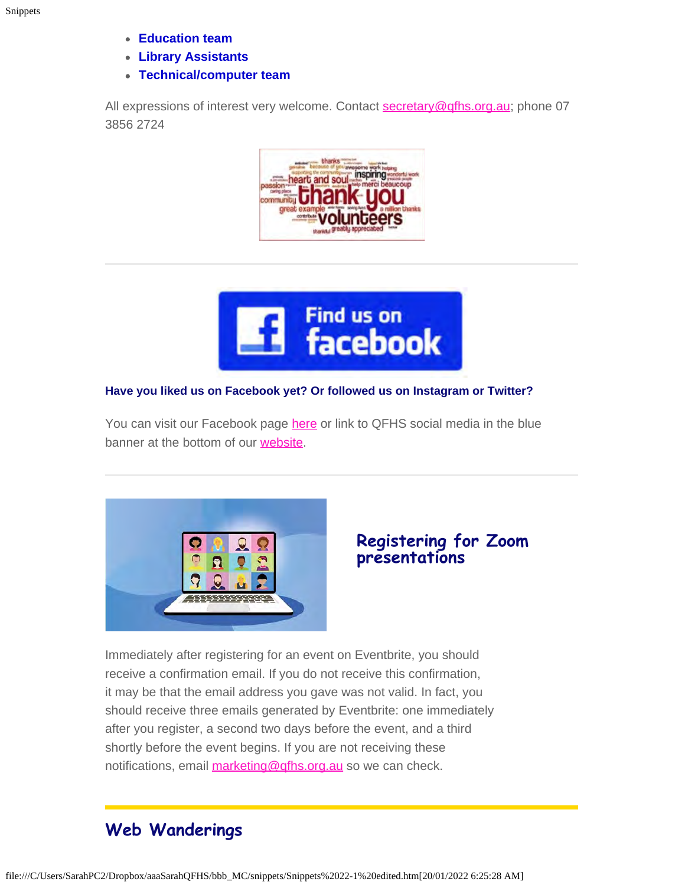- **Education team**
- **Library Assistants**
- **Technical/computer team**

All expressions of interest very welcome. Contact [secretary@qfhs.org.au](mailto:secretary@qfhs.org.au); phone 07 3856 2724





#### **Have you liked us on Facebook yet? Or followed us on Instagram or Twitter?**

You can visit our Facebook page [here](https://irelandxo.com/ireland-xo/news/ireland-xo-insight-what-did-your-ancestors-do?utm_medium=email&utm_source=emfluence&utm_campaign=The%20Occupation%20of%20our%20Ancestors) or link to QFHS social media in the blue banner at the bottom of our [website.](https://www.qfhs.org.au/)



#### **Registering for Zoom presentations**

Immediately after registering for an event on Eventbrite, you should receive a confirmation email. If you do not receive this confirmation, it may be that the email address you gave was not valid. In fact, you should receive three emails generated by Eventbrite: one immediately after you register, a second two days before the event, and a third shortly before the event begins. If you are not receiving these notifications, email [marketing@qfhs.org.au](mailto:marketing@qfhs.org.au) so we can check.

### **Web Wanderings**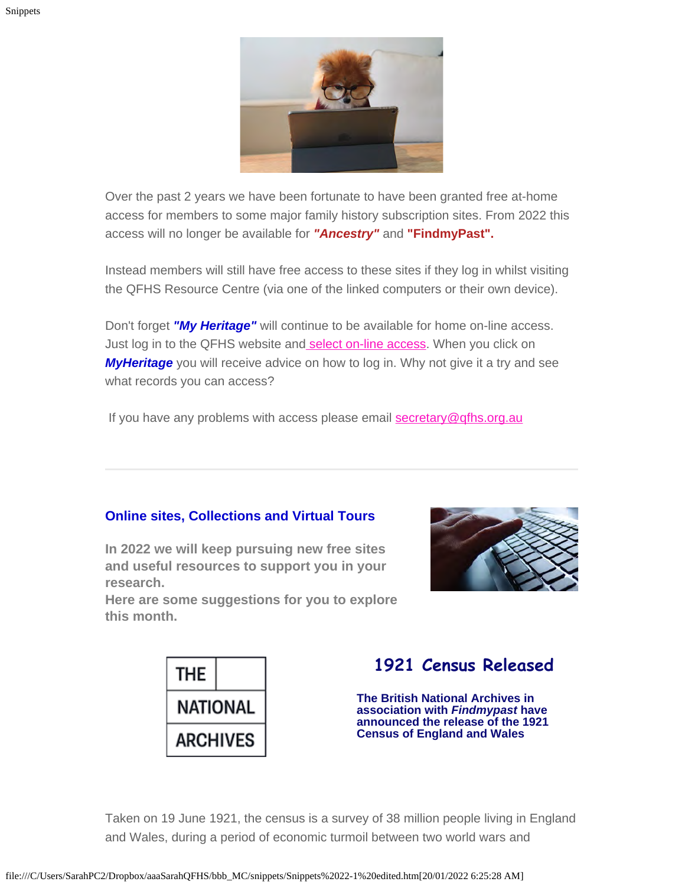

Over the past 2 years we have been fortunate to have been granted free at-home access for members to some major family history subscription sites. From 2022 this access will no longer be available for *"Ancestry"* and **"FindmyPast".**

Instead members will still have free access to these sites if they log in whilst visiting the QFHS Resource Centre (via one of the linked computers or their own device).

Don't forget *"My Heritage"* will continue to be available for home on-line access. Just log in to the QFHS website an[d select on-line access](https://www.qfhs.org.au/online-access/). When you click on **MyHeritage** you will receive advice on how to log in. Why not give it a try and see what records you can access?

If you have any problems with access please email [secretary@qfhs.org.au](mailto:secretary@qfhs.org.au?subject=Access%20to%20Subscription%20sites)

#### **Online sites, Collections and Virtual Tours**

**In 2022 we will keep pursuing new free sites and useful resources to support you in your research.**

**Here are some suggestions for you to explore this month.**





### **1921 Census Released**

**The British National Archives in association with** *Findmypast* **have announced the release of the 1921 Census of England and Wales**

Taken on 19 June 1921, the census is a survey of 38 million people living in England and Wales, during a period of economic turmoil between two world wars and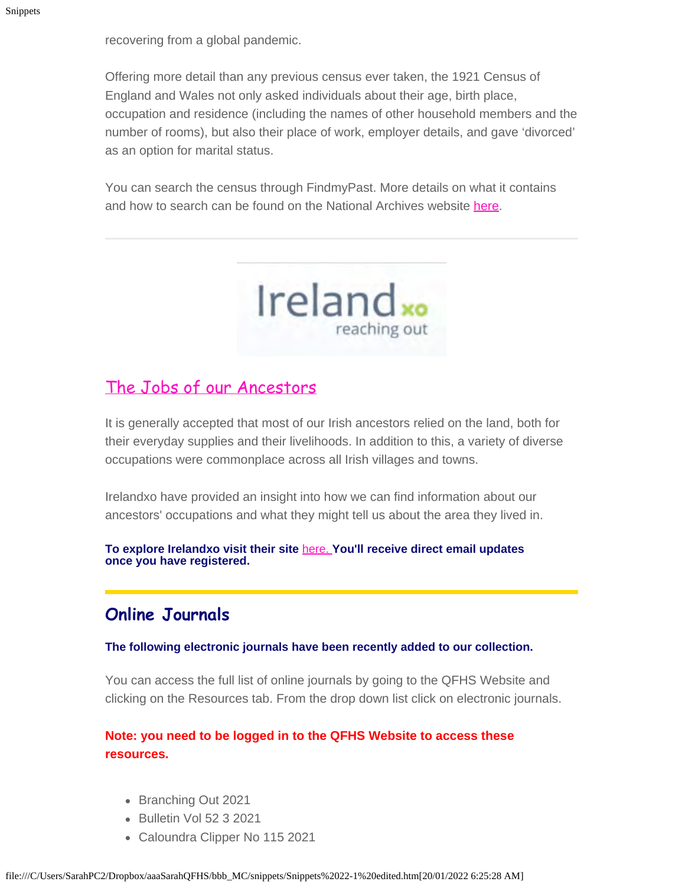recovering from a global pandemic.

Offering more detail than any previous census ever taken, the 1921 Census of England and Wales not only asked individuals about their age, birth place, occupation and residence (including the names of other household members and the number of rooms), but also their place of work, employer details, and gave 'divorced' as an option for marital status.

You can search the census through FindmyPast. More details on what it contains and how to search can be found on the National Archives website [here](https://www.nationalarchives.gov.uk/?utm_source=emailmarketing&utm_medium=email&utm_campaign=20speople_photo_call_out__16_november_2021&utm_content=2021-12-18).



### [The Jobs of our Ancestors](https://irelandxo.com/ireland-xo/news/ireland-xo-insight-what-did-your-ancestors-do?utm_medium=email&utm_source=emfluence&utm_campaign=The%20Occupation%20of%20our%20Ancestors)

It is generally accepted that most of our Irish ancestors relied on the land, both for their everyday supplies and their livelihoods. In addition to this, a variety of diverse occupations were commonplace across all Irish villages and towns.

Irelandxo have provided an insight into how we can find information about our ancestors' occupations and what they might tell us about the area they lived in.

**To explore Irelandxo visit their site** [here.](https://irelandxo.com/) **You'll receive direct email updates once you have registered.**

### **Online Journals**

**The following electronic journals have been recently added to our collection.**

You can access the full list of online journals by going to the QFHS Website and clicking on the Resources tab. From the drop down list click on electronic journals.

#### **Note: you need to be logged in to the QFHS Website to access these resources.**

- Branching Out 2021
- Bulletin Vol 52 3 2021
- Caloundra Clipper No 115 2021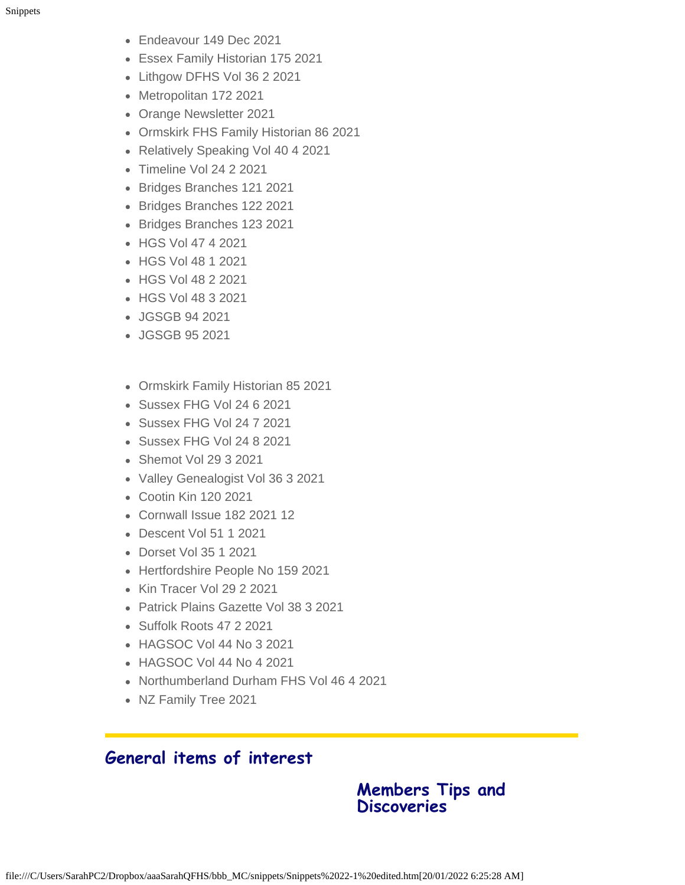- Endeavour 149 Dec 2021
- Essex Family Historian 175 2021
- Lithgow DFHS Vol 36 2 2021
- Metropolitan 172 2021
- Orange Newsletter 2021
- Ormskirk FHS Family Historian 86 2021
- Relatively Speaking Vol 40 4 2021
- Timeline Vol 24 2 2021
- Bridges Branches 121 2021
- Bridges Branches 122 2021
- Bridges Branches 123 2021
- HGS Vol 47 4 2021
- HGS Vol 48 1 2021
- HGS Vol 48 2 2021
- HGS Vol 48 3 2021
- JGSGB 94 2021
- JGSGB 95 2021
- Ormskirk Family Historian 85 2021
- Sussex FHG Vol 24 6 2021
- Sussex FHG Vol 24 7 2021
- Sussex FHG Vol 24 8 2021
- Shemot Vol 29 3 2021
- Valley Genealogist Vol 36 3 2021
- Cootin Kin 120 2021
- Cornwall Issue 182 2021 12
- Descent Vol 51 1 2021
- Dorset Vol 35 1 2021
- Hertfordshire People No 159 2021
- Kin Tracer Vol 29 2 2021
- Patrick Plains Gazette Vol 38 3 2021
- Suffolk Roots 47 2 2021
- HAGSOC Vol 44 No 3 2021
- HAGSOC Vol 44 No 4 2021
- Northumberland Durham FHS Vol 46 4 2021
- NZ Family Tree 2021

### **General items of interest**

#### **Members Tips and Discoveries**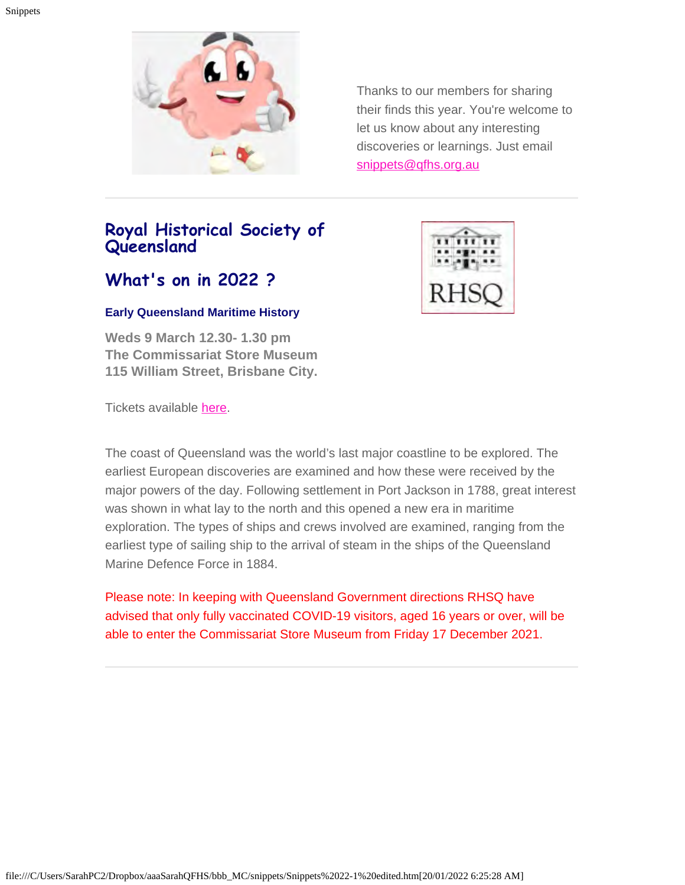

Thanks to our members for sharing their finds this year. You're welcome to let us know about any interesting discoveries or learnings. Just email [snippets@qfhs.org.au](mailto:snippets@qfhs.org.au)

### **Royal Historical Society of Queensland**

### **What's on in 2022 ?**

#### **Early Queensland Maritime History**

**Weds 9 March 12.30- 1.30 pm The Commissariat Store Museum 115 William Street, Brisbane City.**

Tickets available [here.](https://www.eventbrite.com.au/e/early-queensland-maritime-history-tickets-224969408557)

The coast of Queensland was the world's last major coastline to be explored. The earliest European discoveries are examined and how these were received by the major powers of the day. Following settlement in Port Jackson in 1788, great interest was shown in what lay to the north and this opened a new era in maritime exploration. The types of ships and crews involved are examined, ranging from the earliest type of sailing ship to the arrival of steam in the ships of the Queensland Marine Defence Force in 1884.

Please note: In keeping with Queensland Government directions RHSQ have advised that only fully vaccinated COVID-19 visitors, aged 16 years or over, will be able to enter the Commissariat Store Museum from Friday 17 December 2021.

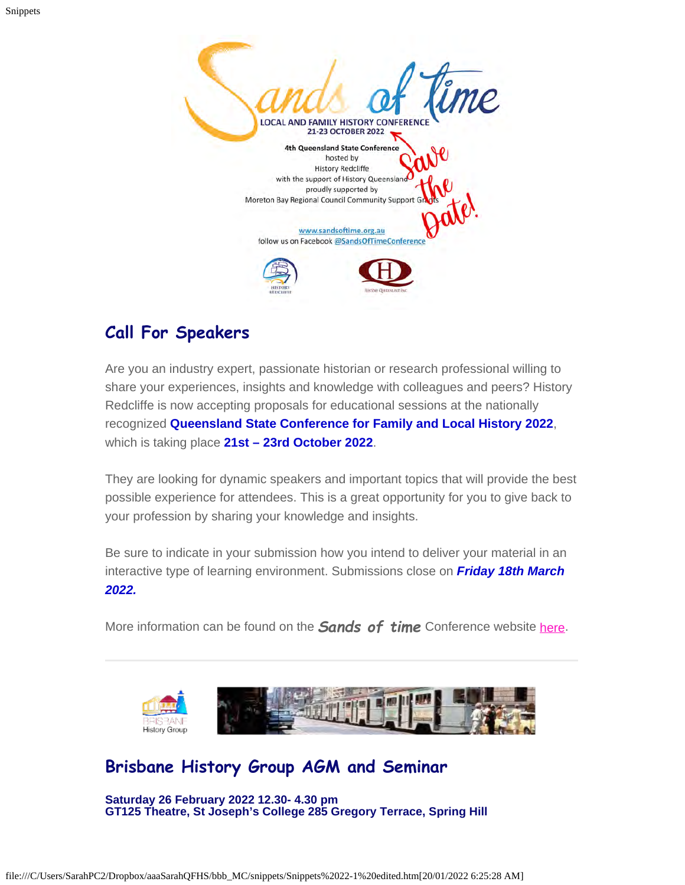

### **Call For Speakers**

Are you an industry expert, passionate historian or research professional willing to share your experiences, insights and knowledge with colleagues and peers? History Redcliffe is now accepting proposals for educational sessions at the nationally recognized **Queensland State Conference for Family and Local History 2022**, which is taking place **21st – 23rd October 2022**.

They are looking for dynamic speakers and important topics that will provide the best possible experience for attendees. This is a great opportunity for you to give back to your profession by sharing your knowledge and insights.

Be sure to indicate in your submission how you intend to deliver your material in an interactive type of learning environment. Submissions close on *Friday 18th March 2022.*

More information can be found on the *Sands of time* Conference website [here.](https://sandsoftime.org.au/)



### **Brisbane History Group AGM and Seminar**

**Saturday 26 February 2022 12.30- 4.30 pm GT125 Theatre, St Joseph's College 285 Gregory Terrace, Spring Hill**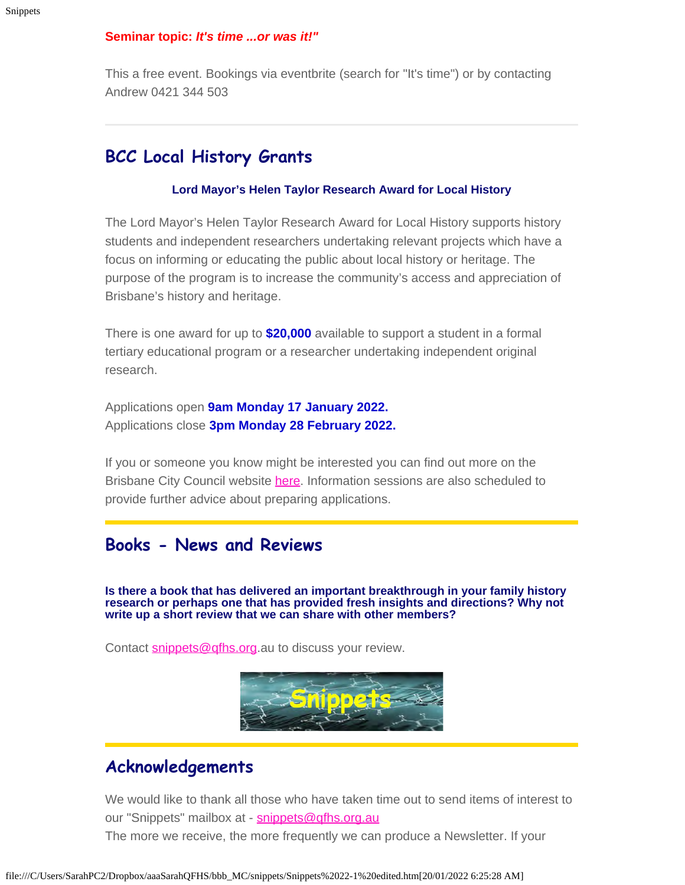#### **Seminar topic:** *It's time ...or was it!"*

This a free event. Bookings via eventbrite (search for "It's time") or by contacting Andrew 0421 344 503

### **BCC Local History Grants**

#### **Lord Mayor's Helen Taylor Research Award for Local History**

The Lord Mayor's Helen Taylor Research Award for Local History supports history students and independent researchers undertaking relevant projects which have a focus on informing or educating the public about local history or heritage. The purpose of the program is to increase the community's access and appreciation of Brisbane's history and heritage.

There is one award for up to **\$20,000** available to support a student in a formal tertiary educational program or a researcher undertaking independent original research.

Applications open **9am Monday 17 January 2022.** Applications close **3pm Monday 28 February 2022.**

If you or someone you know might be interested you can find out more on the Brisbane City Council website [here.](https://www.brisbane.qld.gov.au/community-and-safety/grants-awards-and-sponsorships/creative-and-history-grants/lord-mayors-helen-taylor-research-award-for-local-history) Information sessions are also scheduled to provide further advice about preparing applications.

### **Books - News and Reviews**

**Is there a book that has delivered an important breakthrough in your family history research or perhaps one that has provided fresh insights and directions? Why not write up a short review that we can share with other members?**

Contact [snippets@qfhs.org](mailto:snippets@qfhs.org.au).au to discuss your review.



### **Acknowledgements**

We would like to thank all those who have taken time out to send items of interest to our "Snippets" mailbox at - [snippets@qfhs.org.au](mailto:snippets@qfhs.org.au) The more we receive, the more frequently we can produce a Newsletter. If your